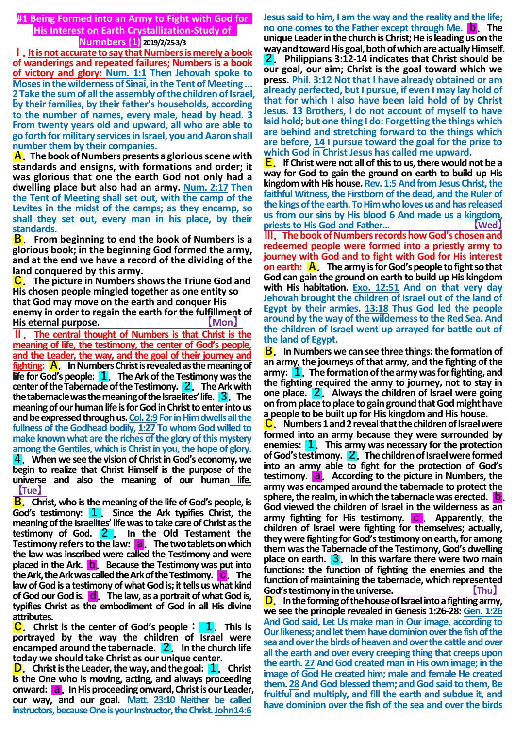**#1 Being Formed into an Army to Fight with God for His Interest on Earth Crystallization-Study of** 

**Numnbers (1) 2019/2/25-3/3**

**Ⅰ.It is not accurate to say that Numbers is merely a book of wanderings and repeated failures; Numbers is a book of victory and glory: Num. 1:1 Then Jehovah spoke to Moses in the wilderness of Sinai, in the Tent of Meeting ... 2 Take the sum of all the assembly of the children of Israel, by their families, by their father's households, according to the number of names, every male, head by head. 3 From twenty years old and upward, all who are able to go forth for military services in Israel, you and Aaron shall number them by their companies.**

**A.The book of Numbers presents a glorious scene with standards and ensigns, with formations and order; it was glorious that one the earth God not only had a dwelling place but also had an army. Num. 2:17 Then the Tent of Meeting shall set out, with the camp of the Levites in the midst of the camps; as they encamp, so shall they set out, every man in his place, by their standards.**

**B.From beginning to end the book of Numbers is a glorious book; in the beginning God formed the army, and at the end we have a record of the dividing of the land conquered by this army.**

**C.The picture in Numbers shows the Triune God and His chosen people mingled together as one entity so that God may move on the earth and conquer His enemy in order to regain the earth for the fulfillment of His eternal purpose. 【Mon】**

**Ⅱ.The central thought of Numbers is that Christ is the meaning of life, the testimony, the center of God's people, and the Leader, the way, and the goal of their journey and fighting: A.In Numbers Christ is revealed as the meaning of life for God's people: 1.The Ark of the Testimony was the center of the Tabernacle of the Testimony. 2.The Ark with the tabernacle was the meaning of the Israelites' life. 3.The meaning of our human life is for God in Christ to enter into us**  and be expressed through us. Col. 2:9 For in Him dwells all the fullness of the Godhead bodily, 1:27 To whom God willed to **make known what are the riches of the glory of this mystery among the Gentiles, which is Christ in you, the hope of glory. 4.When we see the vision of Christ in God's economy, we begin to realize that Christ Himself is the purpose of the universe and also the meaning of our human life. 【Tue】**

**B.Christ, who is the meaning of the life of God's people, is God's testimony: 1.Since the Ark typifies Christ, the meaning of the Israelites' life was to take care of Christ as the testimony of God. 2 . In the Old Testament the Testimony refers to the law: a.The two tablets on which the law was inscribed were called the Testimony and were placed in the Ark. b.Because the Testimony was put into the Ark, the Ark was called the Ark of the Testimony. c.The law of God is a testimony of what God is; it tells us what kind of God our God is. d.The law, as a portrait of what God is, typifies Christ as the embodiment of God in all His divine attributes.**

**C.Christ is the center of God's people: 1.This is portrayed by the way the children of Israel were encamped around the tabernacle. 2.In the church life today we should take Christ as our unique center.**

**D.Christ is the Leader, the way, and the goal: 1.Christ is the One who is moving, acting, and always proceeding onward: a.In His proceeding onward, Christ is our Leader, our way, and our goal. Matt. 23:10 Neither be called instructors, because One is your Instructor, the Christ. John14:6**

**Jesus said to him, I am the way and the reality and the life; no one comes to the Father except through Me. b.The unique Leader in the church is Christ; He is leading us on the way and toward His goal, both of which are actually Himself. 2.Philippians 3:12-14 indicates that Christ should be our goal, our aim; Christ is the goal toward which we press. Phil. 3:12 Not that I have already obtained or am already perfected, but I pursue, if even I may lay hold of that for which I also have been laid hold of by Christ Jesus. 13 Brothers, I do not account of myself to have laid hold; but one thing I do: Forgetting the things which are behind and stretching forward to the things which are before, 14 I pursue toward the goal for the prize to which God in Christ Jesus has called me upward.**

**E.If Christ were not all of this to us, there would not be a way for God to gain the ground on earth to build up His kingdom with His house. Rev. 1:5And from Jesus Christ, the faithful Witness, the Firstborn of the dead, and the Ruler of the kings of the earth. To Him who loves us and has released us from our sins by His blood 6 And made us a kingdom, priests to His God and Father... 【Wed】**

**Ⅲ.The book of Numbers records how God's chosen and redeemed people were formed into a priestly army to journey with God and to fight with God for His interest on earth: A.The army is for God's people to fight so that God can gain the ground on earth to build up His kingdom with His habitation. Exo. 12:51 And on that very day Jehovah brought the children of Israel out of the land of Egypt by their armies. 13:18 Thus God led the people around by the way of the wilderness to the Red Sea. And the children of Israel went up arrayed for battle out of the land of Egypt.**

**B.In Numbers we can see three things: the formation of an army, the journeys of that army, and the fighting of the army: 1.The formation of the army was for fighting, and the fighting required the army to journey, not to stay in one place. 2.Always the children of Israel were going on from place to place to gain ground that God might have a people to be built up for His kingdom and His house.**

**C.Numbers 1 and 2 reveal that the children of Israel were formed into an army because they were surrounded by enemies: 1.This army was necessary for the protection of God's testimony. 2.The children of Israel were formed into an army able to fight for the protection of God's testimony. a.According to the picture in Numbers, the army was encamped around the tabernacle to protect the sphere, the realm, in which the tabernacle was erected. b. God viewed the children of Israel in the wilderness as an army fighting for His testimony. c.Apparently, the children of Israel were fighting for themselves; actually, they were fighting for God's testimony on earth, for among them was the Tabernacle of the Testimony, God's dwelling place on earth. 3.In this warfare there were two main functions: the function of fighting the enemies and the function of maintaining the tabernacle, which represented God's testimony in the universe.** 

**D.In the forming of the house of Israel into a fighting army, we see the principle revealed in Genesis 1:26-28: Gen. 1:26 And God said, Let Us make man in Our image, according to Our likeness; and let them have dominion over the fish of the sea and over the birds of heaven and over the cattle and over all the earth and over every creeping thing that creeps upon the earth. 27 And God created man in His own image; in the image of God He created him; male and female He created them. 28 And God blessed them; and God said to them, Be fruitful and multiply, and fill the earth and subdue it, and have dominion over the fish of the sea and over the birds**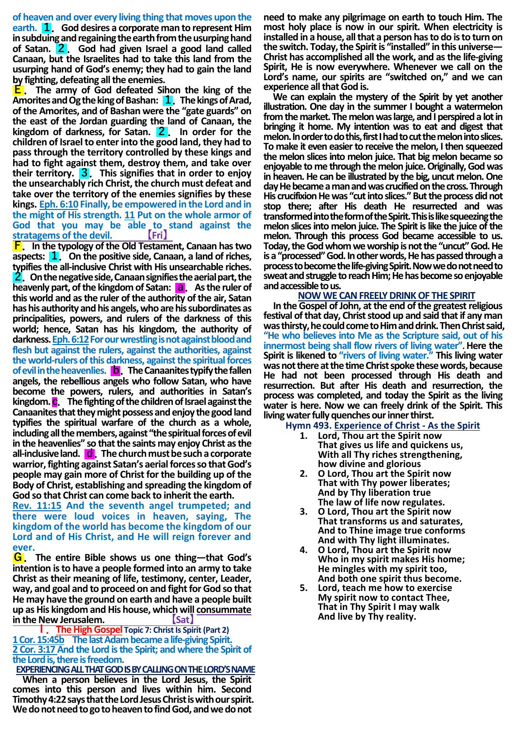**of heaven and over every living thing that moves upon the earth. 1.God desires a corporate man to represent Him in subduing and regaining the earth from the usurping hand of Satan. 2.God had given Israel a good land called Canaan, but the Israelites had to take this land from the usurping hand of God's enemy; they had to gain the land by fighting, defeating all the enemies.**

**E.The army of God defeated Sihon the king of the Amorites and Og the king of Bashan: 1.The kings of Arad, of the Amorites, and of Bashan were the "gate guards" on the east of the Jordan guarding the land of Canaan, the kingdom of darkness, for Satan. 2.In order for the children of Israel to enter into the good land, they had to pass through the territory controlled by these kings and had to fight against them, destroy them, and take over their territory. 3.This signifies that in order to enjoy the unsearchably rich Christ, the church must defeat and take over the territory of the enemies signifies by these kings. Eph. 6:10 Finally, be empowered in the Lord and in the might of His strength. 11 Put on the whole armor of God that you may be able to stand against the**  $stratagens$  of the devil.

**F.In the typology of the Old Testament, Canaan has two aspects: 1.On the positive side, Canaan, a land of riches, typifies the all-inclusive Christ with His unsearchable riches. 2.On the negative side, Canaan signifies the aerial part, the heavenly part, of the kingdom of Satan: a.As the ruler of this world and as the ruler of the authority of the air, Satan has his authority and his angels, who are his subordinates as principalities, powers, and rulers of the darkness of this world; hence, Satan has his kingdom, the authority of darkness.Eph. 6:12For our wrestling is not against blood and flesh but against the rulers, against the authorities, against the world-rulers of this darkness, against the spiritual forces of evil in the heavenlies. b.The Canaanites typify the fallen angels, the rebellious angels who follow Satan, who have become the powers, rulers, and authorities in Satan's kingdom. c.The fighting of the children of Israel against the Canaanites that they might possess and enjoy the good land typifies the spiritual warfare of the church as a whole, including all the members, against "the spiritual forces of evil in the heavenlies" so that the saints may enjoy Christ as the all-inclusive land. d.The church must be such a corporate warrior, fighting against Satan's aerial forces so that God's people may gain more of Christ for the building up of the Body of Christ, establishing and spreading the kingdom of God so that Christ can come back to inherit the earth.**

**Rev. 11:15 And the seventh angel trumpeted; and there were loud voices in heaven, saying, The kingdom of the world has become the kingdom of our Lord and of His Christ, and He will reign forever and ever.**

**G.The entire Bible shows us one thing—that God's intention isto have a people formed into an army to take Christ as their meaning of life, testimony, center, Leader, way, and goal and to proceed on and fight for God so that He may have the ground on earth and have a people built up as His kingdom and His house, which will consummate**  *<b>in the New Jerusalem.* **All [Sat**]

**Ⅰ.The High Gospel Topic 7: Christ Is Spirit (Part 2) 1 Cor. 15:45b The last Adam became a life-giving Spirit. 2 Cor. 3:17 And the Lord is the Spirit; and where the Spirit of the Lord is, there is freedom.**

**EXPERIENCING ALL THAT GOD ISBY CALLING ON THE LORD'S NAME**

**When a person believes in the Lord Jesus, the Spirit comes into this person and lives within him. Second Timothy 4:22 says that the Lord Jesus Christ is with our spirit.**  We do not need to go to heaven to find God, and we do not

**need to make any pilgrimage on earth to touch Him. The most holy place is now in our spirit. When electricity is installed in a house, all that a person has to do is to turn on the switch. Today, the Spirit is "installed" in this universe— Christ has accomplished all the work, and as the life-giving Spirit, He is now everywhere. Whenever we call on the Lord's name, our spirits are "switched on," and we can experience all that God is.**

**We can explain the mystery of the Spirit by yet another illustration. One day in the summer I bought a watermelon from the market. The melon was large, and I perspired a lot in bringing it home. My intention was to eat and digest that melon. In order to do this, first I had to cut the melon into slices. To make it even easier to receive the melon, I then squeezed the melon slices into melon juice. That big melon became so enjoyable to me through the melon juice. Originally, God was in heaven. He can be illustrated by the big, uncut melon. One day He became a man and was crucified on the cross. Through His crucifixion He was "cut into slices." But the process did not stop there; after His death He resurrected and was transformed into the form of the Spirit. This is like squeezing the melon slices into melon juice. The Spirit is like the juice of the melon. Through this process God became accessible to us. Today, the God whom we worship is not the "uncut" God. He is a "processed" God. In other words, He has passed through a process to become the life-giving Spirit. Now we do not need to sweat and struggle to reach Him; He has become so enjoyable and accessible to us.**

#### **NOW WE CAN FREELY DRINK OF THE SPIRIT**

**In the Gospel of John, at the end of the greatest religious festival of that day, Christ stood up and said that if any man was thirsty, he could come to Him and drink. Then Christ said, "He who believes into Me as the Scripture said, out of his innermost being shall flow rivers of living water". Here the Spirit is likened to "rivers of living water." This living water was not there at the time Christ spoke these words, because He had not been processed through His death and resurrection. But after His death and resurrection, the process was completed, and today the Spirit as the living water is here. Now we can freely drink of the Spirit. This living water fully quenches our inner thirst.**

#### **Hymn 493. Experience of Christ - As the Spirit**

- **1. Lord, Thou art the Spirit now That gives us life and quickens us, With all Thy riches strengthening, how divine and glorious**
- **2. O Lord, Thou art the Spirit now That with Thy power liberates; And by Thy liberation true The law of life now regulates.**
- **3. O Lord, Thou art the Spirit now That transforms us and saturates, And to Thine image true conforms And with Thy light illuminates.**
- **4. O Lord, Thou art the Spirit now Who in my spirit makes His home; He mingles with my spirit too, And both one spirit thus become.**
- **5. Lord, teach me how to exercise My spirit now to contact Thee, That in Thy Spirit I may walk And live by Thy reality.**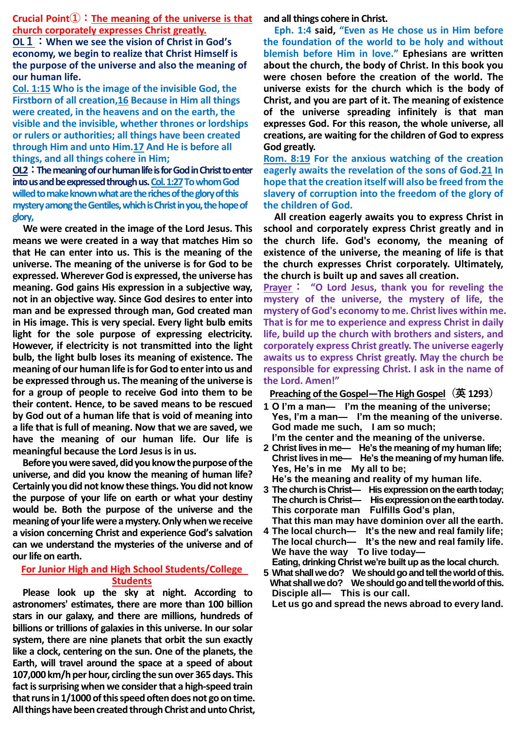**Crucial Point①:The meaning of the universe is that church corporately expresses Christ greatly.**

**OL1:When we see the vision of Christ in God's economy, we begin to realize that Christ Himself is the purpose of the universe and also the meaning of our human life.**

**Col. 1:15 Who is the image of the invisible God, the Firstborn of all creation,16 Because in Him all things were created, in the heavens and on the earth, the visible and the invisible, whether thrones or lordships or rulers or authorities; all things have been created through Him and unto Him.17 And He is before all things, and all things cohere in Him;**

**OL2:The meaning of our human life is for God in Christ to enter into us and be expressed through us. Col.1:27To whom God willed to make known what are the riches of the glory of this mystery among the Gentiles, which is Christ in you, the hope of glory,**

**We were created in the image of the Lord Jesus. This means we were created in a way that matches Him so that He can enter into us. This is the meaning of the universe. The meaning of the universe is for God to be expressed. Wherever God is expressed, the universe has meaning. God gains His expression in a subjective way, not in an objective way. Since God desires to enter into man and be expressed through man, God created man in His image. This is very special. Every light bulb emits light for the sole purpose of expressing electricity. However, if electricity is not transmitted into the light bulb, the light bulb loses its meaning of existence. The meaning of our human life is for God to enter into us and be expressed through us. The meaning of the universe is for a group of people to receive God into them to be their content. Hence, to be saved means to be rescued by God out of a human life that is void of meaning into a life that is full of meaning. Now that we are saved, we have the meaning of our human life. Our life is meaningful because the Lord Jesus is in us.**

**Before you were saved, did you know the purpose of the universe, and did you know the meaning of human life? Certainly you did not know these things. You did not know the purpose of your life on earth or what your destiny would be. Both the purpose of the universe and the meaning of your life were a mystery. Only when we receive a vision concerning Christ and experience God's salvation can we understand the mysteries of the universe and of our life on earth.**

## **For Junior High and High School Students/College Students**

**Please look up the sky at night. According to astronomers' estimates, there are more than 100 billion stars in our galaxy, and there are millions, hundreds of billions or trillions of galaxies in this universe. In our solar system, there are nine planets that orbit the sun exactly like a clock, centering on the sun. One of the planets, the Earth, will travel around the space at a speed of about 107,000 km/h per hour, circling the sun over 365 days. This fact is surprising when we consider that a high-speed train that runs in 1/1000 of this speed often does not go on time. All things have been created through Christ and unto Christ,**  **and all things cohere in Christ.**

**Eph. 1:4 said, "Even as He chose us in Him before the foundation of the world to be holy and without blemish before Him in love." Ephesians are written about the church, the body of Christ. In this book you were chosen before the creation of the world. The universe exists for the church which is the body of Christ, and you are part of it. The meaning of existence of the universe spreading infinitely is that man expresses God. For this reason, the whole universe, all creations, are waiting for the children of God to express God greatly.**

**Rom. 8:19 For the anxious watching of the creation eagerly awaits the revelation of the sons of God.21 In hope that the creation itself will also be freed from the slavery of corruption into the freedom of the glory of the children of God.**

**All creation eagerly awaits you to express Christ in school and corporately express Christ greatly and in the church life. God's economy, the meaning of existence of the universe, the meaning of life is that the church expresses Christ corporately. Ultimately, the church is built up and saves all creation.**

**Prayer: "O Lord Jesus, thank you for reveling the mystery of the universe, the mystery of life, the mystery of God's economy to me. Christ lives within me. That is for me to experience and express Christ in daily life, build up the church with brothers and sisters, and corporately express Christ greatly. The universe eagerly awaits us to express Christ greatly. May the church be responsible for expressing Christ. I ask in the name of the Lord. Amen!"**

## **Preaching of the Gospel―The High Gospel(英 1293)**

- **1 O I'm a man— I'm the meaning of the universe; Yes, I'm a man— I'm the meaning of the universe. God made me such, I am so much; I'm the center and the meaning of the universe.**
- **2 Christ lives in me— He's the meaning of my human life; Christ lives in me— He's the meaning of my human life. Yes, He's in me My all to be; He's the meaning and reality of my human life.**
- **3 The church is Christ— His expression on the earth today; The church is Christ— His expression on the earth today. This corporate man Fulfills God's plan, That this man may have dominion over all the earth.**
- **4 The local church— It's the new and real family life; The local church— It's the new and real family life. We have the way To live today—**
	- **Eating, drinking Christ we're built up as the local church.**
- **5 What shall we do? We should go and tell the world of this. What shall we do? We should go and tell the world of this. Disciple all— This is our call.**

**Let us go and spread the news abroad to every land.**